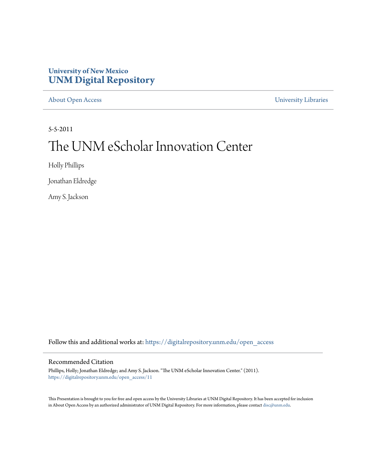#### **University of New Mexico [UNM Digital Repository](https://digitalrepository.unm.edu?utm_source=digitalrepository.unm.edu%2Fopen_access%2F11&utm_medium=PDF&utm_campaign=PDFCoverPages)**

[About Open Access](https://digitalrepository.unm.edu/open_access?utm_source=digitalrepository.unm.edu%2Fopen_access%2F11&utm_medium=PDF&utm_campaign=PDFCoverPages) [University Libraries](https://digitalrepository.unm.edu/libraries?utm_source=digitalrepository.unm.edu%2Fopen_access%2F11&utm_medium=PDF&utm_campaign=PDFCoverPages)

5-5-2011

### The UNM eScholar Innovation Center

Holly Phillips

Jonathan Eldredge

Amy S. Jackson

Follow this and additional works at: [https://digitalrepository.unm.edu/open\\_access](https://digitalrepository.unm.edu/open_access?utm_source=digitalrepository.unm.edu%2Fopen_access%2F11&utm_medium=PDF&utm_campaign=PDFCoverPages)

#### Recommended Citation

Phillips, Holly; Jonathan Eldredge; and Amy S. Jackson. "The UNM eScholar Innovation Center." (2011). [https://digitalrepository.unm.edu/open\\_access/11](https://digitalrepository.unm.edu/open_access/11?utm_source=digitalrepository.unm.edu%2Fopen_access%2F11&utm_medium=PDF&utm_campaign=PDFCoverPages)

This Presentation is brought to you for free and open access by the University Libraries at UNM Digital Repository. It has been accepted for inclusion in About Open Access by an authorized administrator of UNM Digital Repository. For more information, please contact [disc@unm.edu](mailto:disc@unm.edu).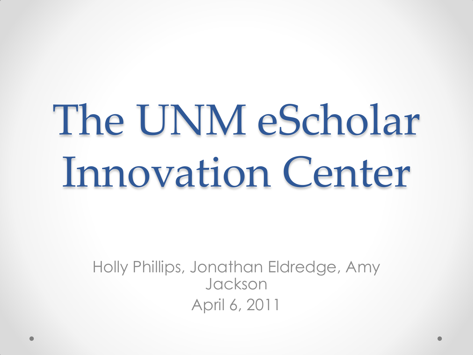# The UNM eScholar Innovation Center

Holly Phillips, Jonathan Eldredge, Amy Jackson April 6, 2011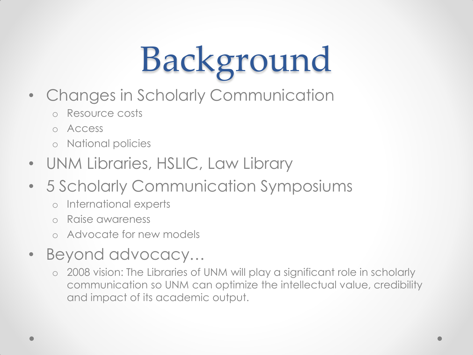# Background

- Changes in Scholarly Communication
	- o Resource costs
	- o Access
	- o National policies
- UNM Libraries, HSLIC, Law Library
- 5 Scholarly Communication Symposiums
	- o International experts
	- o Raise awareness
	- o Advocate for new models
- Beyond advocacy...
	- o 2008 vision: The Libraries of UNM will play a significant role in scholarly communication so UNM can optimize the intellectual value, credibility and impact of its academic output.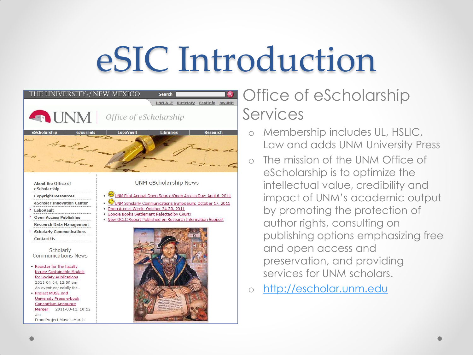## eSIC Introduction



### **Search Contractory FastInform Control Control Control Control Control Control Control Control Control Control Control Control Control Control Control Control Control Control Control Control Control Control Control Control** Services

- o Membership includes UL, HSLIC, Law and adds UNM University Press
- o The mission of the UNM Office of eScholarship is to optimize the intellectual value, credibility and impact of UNM's academic output by promoting the protection of author rights, consulting on publishing options emphasizing free and open access and preservation, and providing services for UNM scholars.
- o [http://escholar.unm.edu](http://escholar.unm.edu/)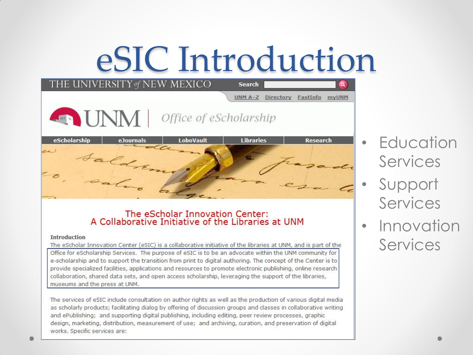### eSIC Introduction

| THE UNIVERSITY of NEW MEXICO |                        | <b>Search</b>        |                   |
|------------------------------|------------------------|----------------------|-------------------|
|                              |                        | UNM A-Z<br>Directory | FastInfo<br>myUNM |
| <b>ENNI</b>                  | Office of eScholarship |                      |                   |
| eScholarship<br>eJournals    | LoboVault              | <b>Libraries</b>     | <b>Research</b>   |
| Saldren<br>z<br>sal          |                        |                      |                   |

### The eScholar Innovation Center:<br>A Collaborative Initiative of the Libraries at UNM

#### **Introduction**

The eScholar Innovation Center (eSIC) is a collaborative initiative of the libraries at UNM, and is part of the Office for eScholarship Services. The purpose of eSIC is to be an advocate within the UNM community for e-scholarship and to support the transition from print to digital authoring. The concept of the Center is to provide specialized facilities, applications and resources to promote electronic publishing, online research collaboration, shared data sets, and open access scholarship, leveraging the support of the libraries, museums and the press at UNM.

The services of eSIC include consultation on author rights as well as the production of various digital media as scholarly products; facilitating dialog by offering of discussion groups and classes in collaborative writing and ePublishing; and supporting digital publishing, including editing, peer review processes, graphic design, marketing, distribution, measurement of use; and archiving, curation, and preservation of digital works. Specific services are:

- Education Services
- Support Services
- Innovation Services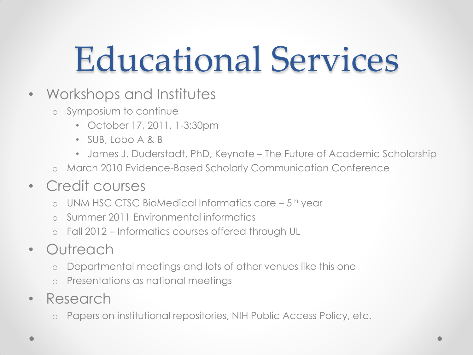## Educational Services

- Workshops and Institutes
	- o Symposium to continue
		- October 17, 2011, 1-3:30pm
		- SUB, Lobo A & B
		- James J. Duderstadt, PhD, Keynote The Future of Academic Scholarship
	- o March 2010 Evidence-Based Scholarly Communication Conference
- Credit courses
	- o UNM HSC CTSC BioMedical Informatics core 5<sup>th</sup> year
	- Summer 2011 Environmental informatics
	- o Fall 2012 Informatics courses offered through UL
- Outreach
	- o Departmental meetings and lots of other venues like this one
	- o Presentations as national meetings
- Research
	- o Papers on institutional repositories, NIH Public Access Policy, etc.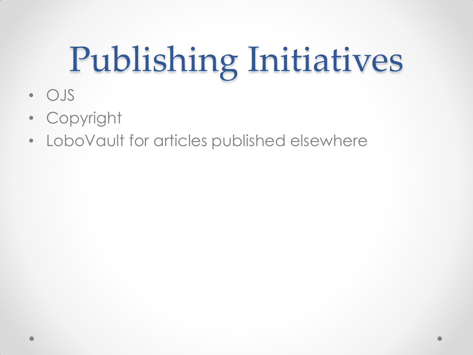# Publishing Initiatives

- OJS
- Copyright
- LoboVault for articles published elsewhere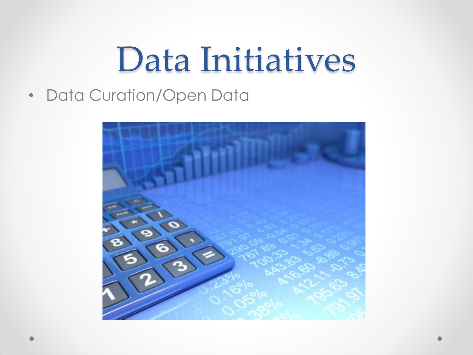### Data Initiatives

• Data Curation/Open Data

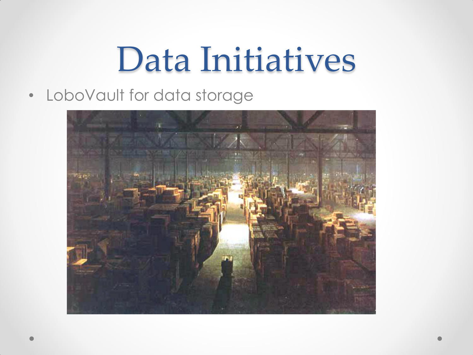### Data Initiatives

• LoboVault for data storage

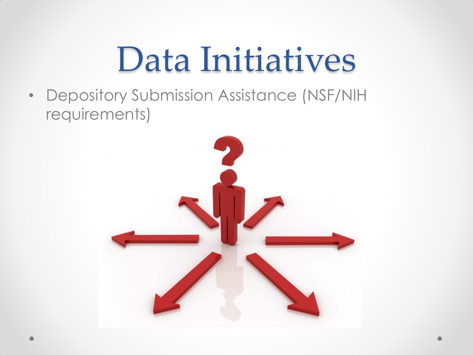### Data Initiatives

• Depository Submission Assistance (NSF/NIH requirements)